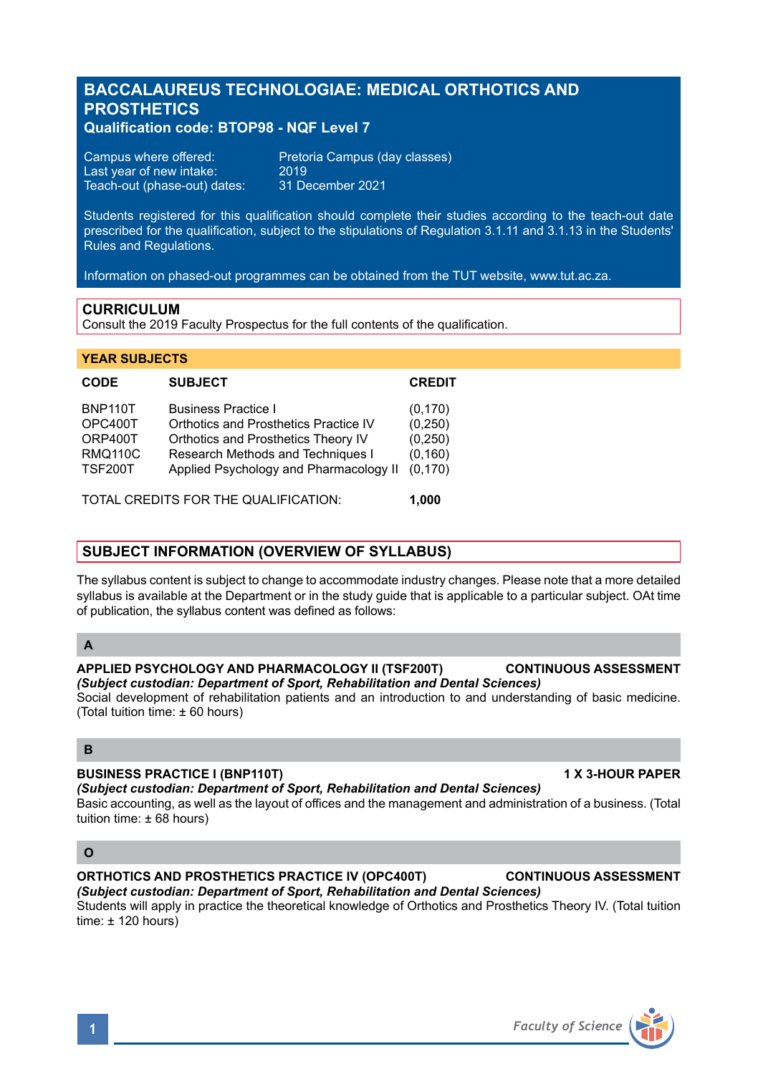# **BACCALAUREUS TECHNOLOGIAE: MEDICAL ORTHOTICS AND PROSTHETICS**

# **Qualification code: BTOP98 - NQF Level 7**

| Campus where offered:        | Pretoria Campus (day classes) |
|------------------------------|-------------------------------|
| Last year of new intake: '   | 2019                          |
| Teach-out (phase-out) dates: | 31 December 2021              |

Students registered for this qualification should complete their studies according to the teach-out date prescribed for the qualification, subject to the stipulations of Regulation 3.1.11 and 3.1.13 in the Students' Rules and Regulations.

Information on phased-out programmes can be obtained from the TUT website, www.tut.ac.za.

### **CURRICULUM**

Consult the 2019 Faculty Prospectus for the full contents of the qualification.

#### **YEAR SUBJECTS**

| <b>CODE</b>                                                              | <b>SUBJECT</b>                                                                                                                                                                            | <b>CREDIT</b>                                           |
|--------------------------------------------------------------------------|-------------------------------------------------------------------------------------------------------------------------------------------------------------------------------------------|---------------------------------------------------------|
| <b>BNP110T</b><br>OPC400T<br>ORP400T<br><b>RMQ110C</b><br><b>TSF200T</b> | <b>Business Practice I</b><br>Orthotics and Prosthetics Practice IV<br>Orthotics and Prosthetics Theory IV<br>Research Methods and Techniques I<br>Applied Psychology and Pharmacology II | (0, 170)<br>(0,250)<br>(0, 250)<br>(0, 160)<br>(0, 170) |
| TOTAL CREDITS FOR THE QUALIFICATION:                                     |                                                                                                                                                                                           | 1.000                                                   |

# **SUBJECT INFORMATION (OVERVIEW OF SYLLABUS)**

The syllabus content is subject to change to accommodate industry changes. Please note that a more detailed syllabus is available at the Department or in the study guide that is applicable to a particular subject. OAt time of publication, the syllabus content was defined as follows:

#### **A**

#### **APPLIED PSYCHOLOGY AND PHARMACOLOGY II (TSF200T) CONTINUOUS ASSESSMENT** *(Subject custodian: Department of Sport, Rehabilitation and Dental Sciences)*

Social development of rehabilitation patients and an introduction to and understanding of basic medicine. (Total tuition time: ± 60 hours)

# **B**

#### **BUSINESS PRACTICE I (BNP110T) 1 X 3-HOUR PAPER**

*(Subject custodian: Department of Sport, Rehabilitation and Dental Sciences)*

Basic accounting, as well as the layout of offices and the management and administration of a business. (Total tuition time: ± 68 hours)

### **O**

# **ORTHOTICS AND PROSTHETICS PRACTICE IV (OPC400T) CONTINUOUS ASSESSMENT** *(Subject custodian: Department of Sport, Rehabilitation and Dental Sciences)*

Students will apply in practice the theoretical knowledge of Orthotics and Prosthetics Theory IV. (Total tuition time:  $\pm$  120 hours)